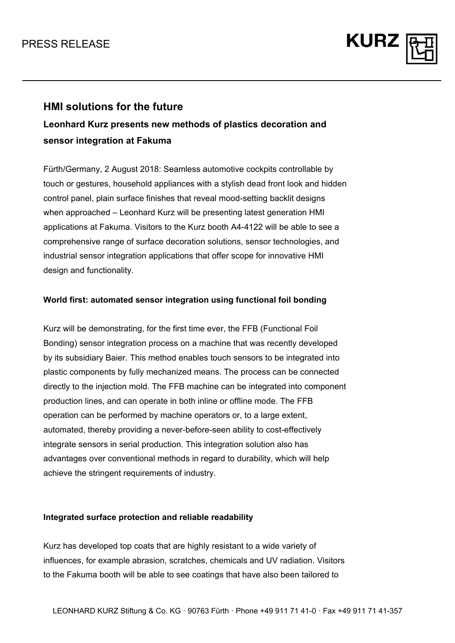

### **HMI solutions for the future**

# **Leonhard Kurz presents new methods of plastics decoration and sensor integration at Fakuma**

Fürth/Germany, 2 August 2018: Seamless automotive cockpits controllable by touch or gestures, household appliances with a stylish dead front look and hidden control panel, plain surface finishes that reveal mood-setting backlit designs when approached – Leonhard Kurz will be presenting latest generation HMI applications at Fakuma. Visitors to the Kurz booth A4-4122 will be able to see a comprehensive range of surface decoration solutions, sensor technologies, and industrial sensor integration applications that offer scope for innovative HMI design and functionality.

### **World first: automated sensor integration using functional foil bonding**

Kurz will be demonstrating, for the first time ever, the FFB (Functional Foil Bonding) sensor integration process on a machine that was recently developed by its subsidiary Baier. This method enables touch sensors to be integrated into plastic components by fully mechanized means. The process can be connected directly to the injection mold. The FFB machine can be integrated into component production lines, and can operate in both inline or offline mode. The FFB operation can be performed by machine operators or, to a large extent, automated, thereby providing a never-before-seen ability to cost-effectively integrate sensors in serial production. This integration solution also has advantages over conventional methods in regard to durability, which will help achieve the stringent requirements of industry.

#### **Integrated surface protection and reliable readability**

Kurz has developed top coats that are highly resistant to a wide variety of influences, for example abrasion, scratches, chemicals and UV radiation. Visitors to the Fakuma booth will be able to see coatings that have also been tailored to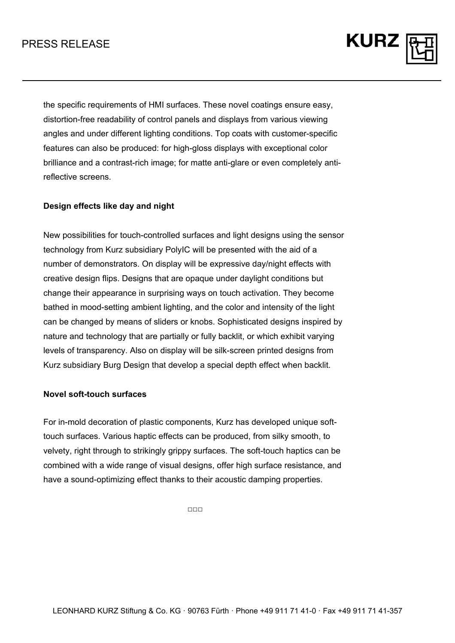## PRESS RELEASE

the specific requirements of HMI surfaces. These novel coatings ensure easy, distortion-free readability of control panels and displays from various viewing angles and under different lighting conditions. Top coats with customer-specific features can also be produced: for high-gloss displays with exceptional color brilliance and a contrast-rich image; for matte anti-glare or even completely antireflective screens.

**KURZ** 

#### **Design effects like day and night**

New possibilities for touch-controlled surfaces and light designs using the sensor technology from Kurz subsidiary PolyIC will be presented with the aid of a number of demonstrators. On display will be expressive day/night effects with creative design flips. Designs that are opaque under daylight conditions but change their appearance in surprising ways on touch activation. They become bathed in mood-setting ambient lighting, and the color and intensity of the light can be changed by means of sliders or knobs. Sophisticated designs inspired by nature and technology that are partially or fully backlit, or which exhibit varying levels of transparency. Also on display will be silk-screen printed designs from Kurz subsidiary Burg Design that develop a special depth effect when backlit.

#### **Novel soft-touch surfaces**

For in-mold decoration of plastic components, Kurz has developed unique softtouch surfaces. Various haptic effects can be produced, from silky smooth, to velvety, right through to strikingly grippy surfaces. The soft-touch haptics can be combined with a wide range of visual designs, offer high surface resistance, and have a sound-optimizing effect thanks to their acoustic damping properties.

 $\Box \Box \Box$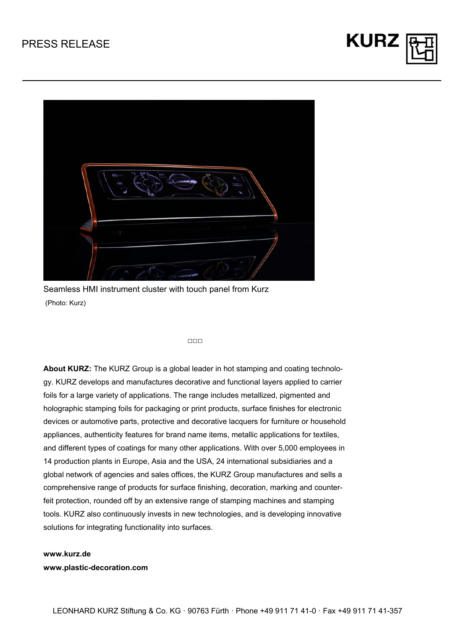



Seamless HMI instrument cluster with touch panel from Kurz (Photo: Kurz)

#### □□□

**About KURZ:** The KURZ Group is a global leader in hot stamping and coating technology. KURZ develops and manufactures decorative and functional layers applied to carrier foils for a large variety of applications. The range includes metallized, pigmented and holographic stamping foils for packaging or print products, surface finishes for electronic devices or automotive parts, protective and decorative lacquers for furniture or household appliances, authenticity features for brand name items, metallic applications for textiles, and different types of coatings for many other applications. With over 5,000 employees in 14 production plants in Europe, Asia and the USA, 24 international subsidiaries and a global network of agencies and sales offices, the KURZ Group manufactures and sells a comprehensive range of products for surface finishing, decoration, marking and counterfeit protection, rounded off by an extensive range of stamping machines and stamping tools. KURZ also continuously invests in new technologies, and is developing innovative solutions for integrating functionality into surfaces.

**www.kurz.de www.plastic-decoration.com**